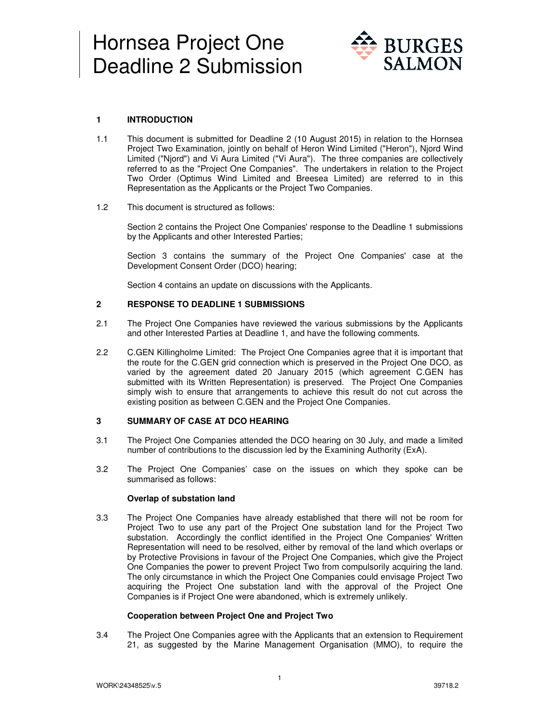

# **1 INTRODUCTION**

- 1.1 This document is submitted for Deadline 2 (10 August 2015) in relation to the Hornsea Project Two Examination, jointly on behalf of Heron Wind Limited ("Heron"), Njord Wind Limited ("Njord") and Vi Aura Limited ("Vi Aura"). The three companies are collectively referred to as the "Project One Companies". The undertakers in relation to the Project Two Order (Optimus Wind Limited and Breesea Limited) are referred to in this Representation as the Applicants or the Project Two Companies.
- 1.2 This document is structured as follows:

Section 2 contains the Project One Companies' response to the Deadline 1 submissions by the Applicants and other Interested Parties;

Section 3 contains the summary of the Project One Companies' case at the Development Consent Order (DCO) hearing;

Section 4 contains an update on discussions with the Applicants.

## **2 RESPONSE TO DEADLINE 1 SUBMISSIONS**

- 2.1 The Project One Companies have reviewed the various submissions by the Applicants and other Interested Parties at Deadline 1, and have the following comments.
- 2.2 C.GEN Killingholme Limited: The Project One Companies agree that it is important that the route for the C.GEN grid connection which is preserved in the Project One DCO, as varied by the agreement dated 20 January 2015 (which agreement C.GEN has submitted with its Written Representation) is preserved. The Project One Companies simply wish to ensure that arrangements to achieve this result do not cut across the existing position as between C.GEN and the Project One Companies.

### **3 SUMMARY OF CASE AT DCO HEARING**

- 3.1 The Project One Companies attended the DCO hearing on 30 July, and made a limited number of contributions to the discussion led by the Examining Authority (ExA).
- 3.2 The Project One Companies' case on the issues on which they spoke can be summarised as follows:

### **Overlap of substation land**

3.3 The Project One Companies have already established that there will not be room for Project Two to use any part of the Project One substation land for the Project Two substation. Accordingly the conflict identified in the Project One Companies' Written Representation will need to be resolved, either by removal of the land which overlaps or by Protective Provisions in favour of the Project One Companies, which give the Project One Companies the power to prevent Project Two from compulsorily acquiring the land. The only circumstance in which the Project One Companies could envisage Project Two acquiring the Project One substation land with the approval of the Project One Companies is if Project One were abandoned, which is extremely unlikely.

### **Cooperation between Project One and Project Two**

3.4 The Project One Companies agree with the Applicants that an extension to Requirement 21, as suggested by the Marine Management Organisation (MMO), to require the